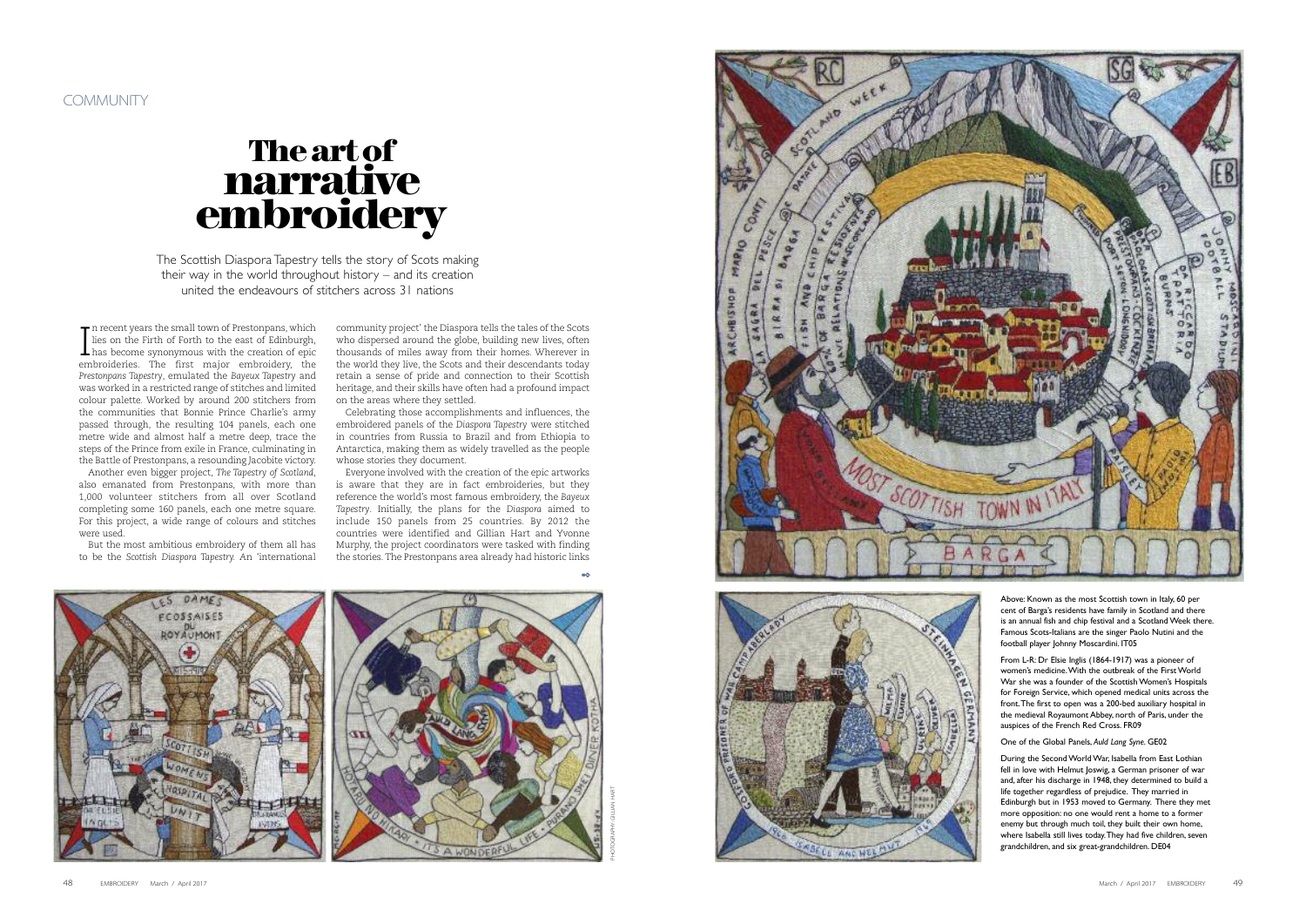and, after his discharge in 1948, they determined to build a life together regardless of prejudice. They married in Edinburgh but in 1953 moved to Germany. There they met more opposition: no one would rent a home to a former enemy but through much toil, they built their own home, where Isabella still lives today. They had five children, seven grandchildren, and six great-grandchildren. DE04

The Scottish Diaspora Tapestry tells the story of Scots making i i l l i their way in the world throughout history – and its creation i i l i i i united the endeavours of stitchers across 31 nations i i i

In recent years the small town of Prestonpans, which<br>lies on the Firth of Forth to the east of Edinburgh,<br>has become synonymous with the creation of epic<br>embroideries. The first major embroidery the n recent years the small town of Prestonpans, which lies on the Firth of Forth to the east of Edinburgh, embroideries. The first major embroidery, the Prestonpans Tapestry, emulated the Bayeux Tapestry and was worked in a restricted range of stitches and limited colour palette. Worked by around 200 stitchers from the communities that Bonnie Prince Charlie's army passed through, the resulting 104 panels, each one metre wide and almost half a metre deep, trace the steps of the Prince from exile in France, culminating in the Battle of Prestonpans, a resounding Jacobite victory.

Another even bigger project, The Tapestry of Scotland, also emanated from Prestonpans, with more than 1 , 0 0 0 v o l u n t e e r s t i t c h e r s fr o m a l l o v e r S c o t l a n d completing some 160 panels, each one metre square. For this project, a wide range of colours and stitches were used.

But the most ambitious embroidery of them all has to be the Scottish Diaspora Tapestry. An 'international community project' the Diaspora tells the tales of the Scots who dispersed around the globe, building new lives, often thousands of miles away from their homes. Wherever in the world they live, the Scots and their descendants today retain a sense of pride and connection to their Scottish heritage, and their skills have often had a profound impact on the areas where they settled.

Celebrating those accomplishments and influences, the embroidered panels of the Diaspora Tapestry were stitched in countries from Russia to Brazil and from Ethiopia to Antarctica, making them as widely travelled as the people whose stories they document.

Everyone involved with the creation of the epic artworks is aware that they are in fact embroideries, but they reference the world's most famous embroidery, the Bay*eu*x *Tapestry.* Initially, the plans for the Diaspora aimed to include 150 panels from 25 countries. By 2012 the countries were identified and Gillian Hart and Yvonne Murphy, the project coordinators were tasked with finding the stories. The Prestonpans area already had historic links

66

## **Th e art o f narrative emb ro idery**





PHOTOGRAPHY: GILLIAN HART